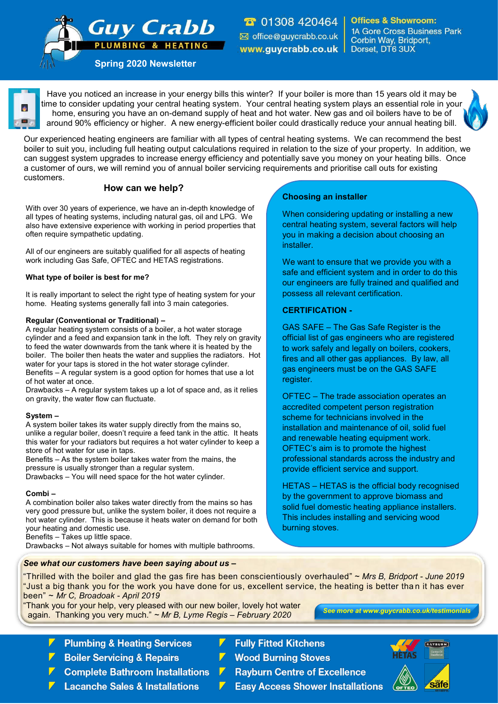**T** 01308 420464 ⊠ office@guycrabb.co.uk www.guycrabb.co.uk |

**Offices & Showroom: 1A Gore Cross Business Park** Corbin Way, Bridport, Dorset, DT6 3UX

**Spring 2020 Newsletter** 

**Guy Crabb** 

**LUMBING & HEATING** 

Have you noticed an increase in your energy bills this winter? If your boiler is more than 15 years old it may be time to consider updating your central heating system. Your central heating system plays an essential role in your home, ensuring you have an on-demand supply of heat and hot water. New gas and oil boilers have to be of around 90% efficiency or higher. A new energy-efficient boiler could drastically reduce your annual heating bill.

Our experienced heating engineers are familiar with all types of central heating systems. We can recommend the best boiler to suit you, including full heating output calculations required in relation to the size of your property. In addition, we can suggest system upgrades to increase energy efficiency and potentially save you money on your heating bills. Once a customer of ours, we will remind you of annual boiler servicing requirements and prioritise call outs for existing customers.

## **How can we help?**

With over 30 years of experience, we have an in-depth knowledge of all types of heating systems, including natural gas, oil and LPG. We also have extensive experience with working in period properties that often require sympathetic updating.

All of our engineers are suitably qualified for all aspects of heating work including Gas Safe, OFTEC and HETAS registrations.

#### **What type of boiler is best for me?**

It is really important to select the right type of heating system for your home. Heating systems generally fall into 3 main categories.

#### **Regular (Conventional or Traditional) –**

A regular heating system consists of a boiler, a hot water storage cylinder and a feed and expansion tank in the loft. They rely on gravity to feed the water downwards from the tank where it is heated by the boiler. The boiler then heats the water and supplies the radiators. Hot water for your taps is stored in the hot water storage cylinder. Benefits – A regular system is a good option for homes that use a lot of hot water at once.

Drawbacks – A regular system takes up a lot of space and, as it relies on gravity, the water flow can fluctuate.

#### **System –**

A system boiler takes its water supply directly from the mains so, unlike a regular boiler, doesn't require a feed tank in the attic. It heats this water for your radiators but requires a hot water cylinder to keep a store of hot water for use in taps.

Benefits – As the system boiler takes water from the mains, the pressure is usually stronger than a regular system. Drawbacks – You will need space for the hot water cylinder.

#### **Combi –**

A combination boiler also takes water directly from the mains so has very good pressure but, unlike the system boiler, it does not require a hot water cylinder. This is because it heats water on demand for both your heating and domestic use.

Benefits – Takes up little space.

Drawbacks – Not always suitable for homes with multiple bathrooms.

## *See what our customers have been saying about us –*

## **Choosing an installer**

When considering updating or installing a new central heating system, several factors will help you in making a decision about choosing an installer.

We want to ensure that we provide you with a safe and efficient system and in order to do this our engineers are fully trained and qualified and possess all relevant certification.

### **CERTIFICATION -**

GAS SAFE – The Gas Safe Register is the official list of gas engineers who are registered to work safely and legally on boilers, cookers, fires and all other gas appliances. By law, all gas engineers must be on the GAS SAFE register.

OFTEC – The trade association operates an accredited competent person registration scheme for technicians involved in the installation and maintenance of oil, solid fuel and renewable heating equipment work. OFTEC's aim is to promote the highest professional standards across the industry and provide efficient service and support.

HETAS – HETAS is the official body recognised by the government to approve biomass and solid fuel domestic heating appliance installers. This includes installing and servicing wood burning stoves.

"Thrilled with the boiler and glad the gas fire has been conscientiously overhauled" ~ *Mrs B, Bridport - June 2019*  "Just a big thank you for the work you have done for us, excellent service, the heating is better than it has ever been" ~ *Mr C, Broadoak - April 2019* 

"Thank you for your help, very pleased with our new boiler, lovely hot water again. Thanking you very much." *~ Mr B, Lyme Regis – February 2020*

- **Plumbing & Heating Services**
- **Boiler Servicing & Repairs**
- **Complete Bathroom Installations**
- **Lacanche Sales & Installations**
- **Fully Fitted Kitchens**
- **Wood Burning Stoves**
- **Rayburn Centre of Excellence**
- **Easy Access Shower Installations**



*See more at www.guycrabb.co.uk/testimonials*